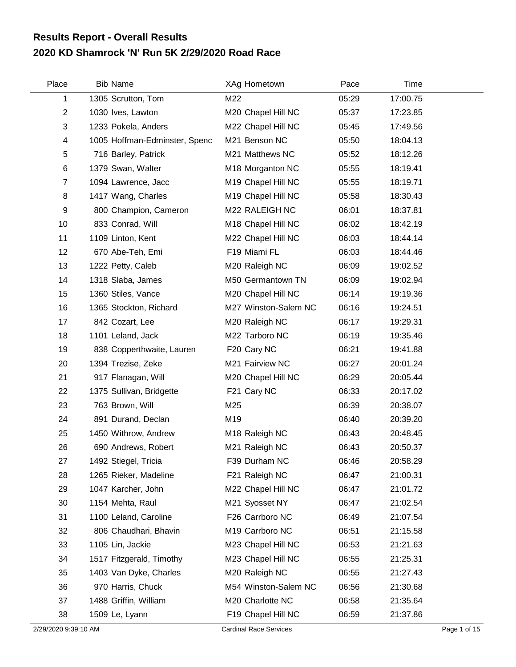## **2020 KD Shamrock 'N' Run 5K 2/29/2020 Road Race Results Report - Overall Results**

| Place          | <b>Bib Name</b>               | XAg Hometown               | Pace  | Time     |  |
|----------------|-------------------------------|----------------------------|-------|----------|--|
| 1              | 1305 Scrutton, Tom            | M22                        | 05:29 | 17:00.75 |  |
| $\overline{c}$ | 1030 Ives, Lawton             | M20 Chapel Hill NC         | 05:37 | 17:23.85 |  |
| 3              | 1233 Pokela, Anders           | M22 Chapel Hill NC         | 05:45 | 17:49.56 |  |
| 4              | 1005 Hoffman-Edminster, Spenc | M21 Benson NC              | 05:50 | 18:04.13 |  |
| 5              | 716 Barley, Patrick           | M21 Matthews NC            | 05:52 | 18:12.26 |  |
| 6              | 1379 Swan, Walter             | M18 Morganton NC           | 05:55 | 18:19.41 |  |
| 7              | 1094 Lawrence, Jacc           | M19 Chapel Hill NC         | 05:55 | 18:19.71 |  |
| 8              | 1417 Wang, Charles            | M19 Chapel Hill NC         | 05:58 | 18:30.43 |  |
| 9              | 800 Champion, Cameron         | M22 RALEIGH NC             | 06:01 | 18:37.81 |  |
| 10             | 833 Conrad, Will              | M18 Chapel Hill NC         | 06:02 | 18:42.19 |  |
| 11             | 1109 Linton, Kent             | M22 Chapel Hill NC         | 06:03 | 18:44.14 |  |
| 12             | 670 Abe-Teh, Emi              | F19 Miami FL               | 06:03 | 18:44.46 |  |
| 13             | 1222 Petty, Caleb             | M20 Raleigh NC             | 06:09 | 19:02.52 |  |
| 14             | 1318 Slaba, James             | M50 Germantown TN          | 06:09 | 19:02.94 |  |
| 15             | 1360 Stiles, Vance            | M20 Chapel Hill NC         | 06:14 | 19:19.36 |  |
| 16             | 1365 Stockton, Richard        | M27 Winston-Salem NC       | 06:16 | 19:24.51 |  |
| 17             | 842 Cozart, Lee               | M20 Raleigh NC             | 06:17 | 19:29.31 |  |
| 18             | 1101 Leland, Jack             | M22 Tarboro NC             | 06:19 | 19:35.46 |  |
| 19             | 838 Copperthwaite, Lauren     | F20 Cary NC                | 06:21 | 19:41.88 |  |
| 20             | 1394 Trezise, Zeke            | M21 Fairview NC            | 06:27 | 20:01.24 |  |
| 21             | 917 Flanagan, Will            | M20 Chapel Hill NC         | 06:29 | 20:05.44 |  |
| 22             | 1375 Sullivan, Bridgette      | F21 Cary NC                | 06:33 | 20:17.02 |  |
| 23             | 763 Brown, Will               | M25                        | 06:39 | 20:38.07 |  |
| 24             | 891 Durand, Declan            | M19                        | 06:40 | 20:39.20 |  |
| 25             | 1450 Withrow, Andrew          | M <sub>18</sub> Raleigh NC | 06:43 | 20:48.45 |  |
| 26             | 690 Andrews, Robert           | M21 Raleigh NC             | 06:43 | 20:50.37 |  |
| 27             | 1492 Stiegel, Tricia          | F39 Durham NC              | 06:46 | 20:58.29 |  |
| 28             | 1265 Rieker, Madeline         | F21 Raleigh NC             | 06:47 | 21:00.31 |  |
| 29             | 1047 Karcher, John            | M22 Chapel Hill NC         | 06:47 | 21:01.72 |  |
| 30             | 1154 Mehta, Raul              | M21 Syosset NY             | 06:47 | 21:02.54 |  |
| 31             | 1100 Leland, Caroline         | F26 Carrboro NC            | 06:49 | 21:07.54 |  |
| 32             | 806 Chaudhari, Bhavin         | M19 Carrboro NC            | 06:51 | 21:15.58 |  |
| 33             | 1105 Lin, Jackie              | M23 Chapel Hill NC         | 06:53 | 21:21.63 |  |
| 34             | 1517 Fitzgerald, Timothy      | M23 Chapel Hill NC         | 06:55 | 21:25.31 |  |
| 35             | 1403 Van Dyke, Charles        | M20 Raleigh NC             | 06:55 | 21:27.43 |  |
| 36             | 970 Harris, Chuck             | M54 Winston-Salem NC       | 06:56 | 21:30.68 |  |
| 37             | 1488 Griffin, William         | M20 Charlotte NC           | 06:58 | 21:35.64 |  |
| 38             | 1509 Le, Lyann                | F19 Chapel Hill NC         | 06:59 | 21:37.86 |  |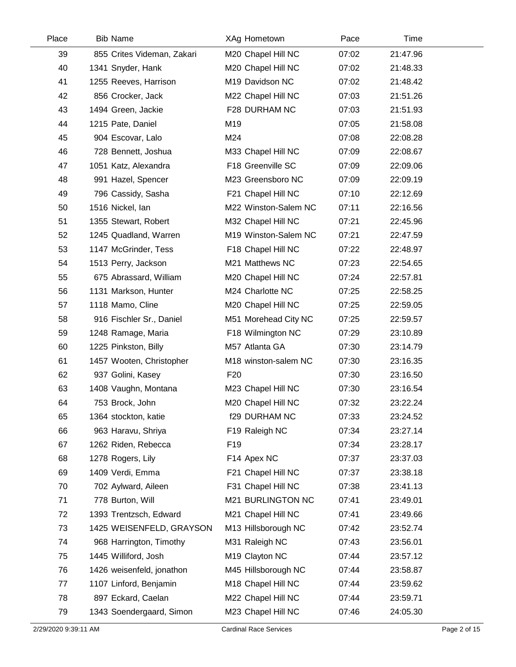| Place | <b>Bib Name</b>            | XAg Hometown                     | Pace  | Time     |  |
|-------|----------------------------|----------------------------------|-------|----------|--|
| 39    | 855 Crites Videman, Zakari | M20 Chapel Hill NC               | 07:02 | 21:47.96 |  |
| 40    | 1341 Snyder, Hank          | M20 Chapel Hill NC               | 07:02 | 21:48.33 |  |
| 41    | 1255 Reeves, Harrison      | M19 Davidson NC                  | 07:02 | 21:48.42 |  |
| 42    | 856 Crocker, Jack          | M22 Chapel Hill NC               | 07:03 | 21:51.26 |  |
| 43    | 1494 Green, Jackie         | F28 DURHAM NC                    | 07:03 | 21:51.93 |  |
| 44    | 1215 Pate, Daniel          | M19                              | 07:05 | 21:58.08 |  |
| 45    | 904 Escovar, Lalo          | M24                              | 07:08 | 22:08.28 |  |
| 46    | 728 Bennett, Joshua        | M33 Chapel Hill NC               | 07:09 | 22:08.67 |  |
| 47    | 1051 Katz, Alexandra       | F18 Greenville SC                | 07:09 | 22:09.06 |  |
| 48    | 991 Hazel, Spencer         | M23 Greensboro NC                | 07:09 | 22:09.19 |  |
| 49    | 796 Cassidy, Sasha         | F21 Chapel Hill NC               | 07:10 | 22:12.69 |  |
| 50    | 1516 Nickel, lan           | M22 Winston-Salem NC             | 07:11 | 22:16.56 |  |
| 51    | 1355 Stewart, Robert       | M32 Chapel Hill NC               | 07:21 | 22:45.96 |  |
| 52    | 1245 Quadland, Warren      | M19 Winston-Salem NC             | 07:21 | 22:47.59 |  |
| 53    | 1147 McGrinder, Tess       | F18 Chapel Hill NC               | 07:22 | 22:48.97 |  |
| 54    | 1513 Perry, Jackson        | M21 Matthews NC                  | 07:23 | 22:54.65 |  |
| 55    | 675 Abrassard, William     | M20 Chapel Hill NC               | 07:24 | 22:57.81 |  |
| 56    | 1131 Markson, Hunter       | M24 Charlotte NC                 | 07:25 | 22:58.25 |  |
| 57    | 1118 Mamo, Cline           | M20 Chapel Hill NC               | 07:25 | 22:59.05 |  |
| 58    | 916 Fischler Sr., Daniel   | M51 Morehead City NC             | 07:25 | 22:59.57 |  |
| 59    | 1248 Ramage, Maria         | F18 Wilmington NC                | 07:29 | 23:10.89 |  |
| 60    | 1225 Pinkston, Billy       | M57 Atlanta GA                   | 07:30 | 23:14.79 |  |
| 61    | 1457 Wooten, Christopher   | M <sub>18</sub> winston-salem NC | 07:30 | 23:16.35 |  |
| 62    | 937 Golini, Kasey          | F <sub>20</sub>                  | 07:30 | 23:16.50 |  |
| 63    | 1408 Vaughn, Montana       | M23 Chapel Hill NC               | 07:30 | 23:16.54 |  |
| 64    | 753 Brock, John            | M20 Chapel Hill NC               | 07:32 | 23:22.24 |  |
| 65    | 1364 stockton, katie       | f29 DURHAM NC                    | 07:33 | 23:24.52 |  |
| 66    | 963 Haravu, Shriya         | F19 Raleigh NC                   | 07:34 | 23:27.14 |  |
| 67    | 1262 Riden, Rebecca        | F <sub>19</sub>                  | 07:34 | 23:28.17 |  |
| 68    | 1278 Rogers, Lily          | F14 Apex NC                      | 07:37 | 23:37.03 |  |
| 69    | 1409 Verdi, Emma           | F21 Chapel Hill NC               | 07:37 | 23:38.18 |  |
| 70    | 702 Aylward, Aileen        | F31 Chapel Hill NC               | 07:38 | 23:41.13 |  |
| 71    | 778 Burton, Will           | M21 BURLINGTON NC                | 07:41 | 23:49.01 |  |
| 72    | 1393 Trentzsch, Edward     | M21 Chapel Hill NC               | 07:41 | 23:49.66 |  |
| 73    | 1425 WEISENFELD, GRAYSON   | M13 Hillsborough NC              | 07:42 | 23:52.74 |  |
| 74    | 968 Harrington, Timothy    | M31 Raleigh NC                   | 07:43 | 23:56.01 |  |
| 75    | 1445 Williford, Josh       | M19 Clayton NC                   | 07:44 | 23:57.12 |  |
| 76    | 1426 weisenfeld, jonathon  | M45 Hillsborough NC              | 07:44 | 23:58.87 |  |
| 77    | 1107 Linford, Benjamin     | M18 Chapel Hill NC               | 07:44 | 23:59.62 |  |
| 78    | 897 Eckard, Caelan         | M22 Chapel Hill NC               | 07:44 | 23:59.71 |  |
| 79    | 1343 Soendergaard, Simon   | M23 Chapel Hill NC               | 07:46 | 24:05.30 |  |
|       |                            |                                  |       |          |  |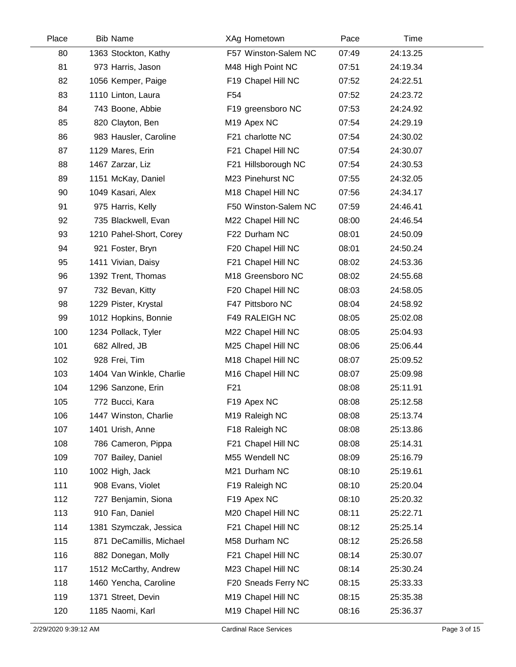| Place | <b>Bib Name</b>          | XAg Hometown         | Pace  | Time     |  |
|-------|--------------------------|----------------------|-------|----------|--|
| 80    | 1363 Stockton, Kathy     | F57 Winston-Salem NC | 07:49 | 24:13.25 |  |
| 81    | 973 Harris, Jason        | M48 High Point NC    | 07:51 | 24:19.34 |  |
| 82    | 1056 Kemper, Paige       | F19 Chapel Hill NC   | 07:52 | 24:22.51 |  |
| 83    | 1110 Linton, Laura       | F54                  | 07:52 | 24:23.72 |  |
| 84    | 743 Boone, Abbie         | F19 greensboro NC    | 07:53 | 24:24.92 |  |
| 85    | 820 Clayton, Ben         | M19 Apex NC          | 07:54 | 24:29.19 |  |
| 86    | 983 Hausler, Caroline    | F21 charlotte NC     | 07:54 | 24:30.02 |  |
| 87    | 1129 Mares, Erin         | F21 Chapel Hill NC   | 07:54 | 24:30.07 |  |
| 88    | 1467 Zarzar, Liz         | F21 Hillsborough NC  | 07:54 | 24:30.53 |  |
| 89    | 1151 McKay, Daniel       | M23 Pinehurst NC     | 07:55 | 24:32.05 |  |
| 90    | 1049 Kasari, Alex        | M18 Chapel Hill NC   | 07:56 | 24:34.17 |  |
| 91    | 975 Harris, Kelly        | F50 Winston-Salem NC | 07:59 | 24:46.41 |  |
| 92    | 735 Blackwell, Evan      | M22 Chapel Hill NC   | 08:00 | 24:46.54 |  |
| 93    | 1210 Pahel-Short, Corey  | F22 Durham NC        | 08:01 | 24:50.09 |  |
| 94    | 921 Foster, Bryn         | F20 Chapel Hill NC   | 08:01 | 24:50.24 |  |
| 95    | 1411 Vivian, Daisy       | F21 Chapel Hill NC   | 08:02 | 24:53.36 |  |
| 96    | 1392 Trent, Thomas       | M18 Greensboro NC    | 08:02 | 24:55.68 |  |
| 97    | 732 Bevan, Kitty         | F20 Chapel Hill NC   | 08:03 | 24:58.05 |  |
| 98    | 1229 Pister, Krystal     | F47 Pittsboro NC     | 08:04 | 24:58.92 |  |
| 99    | 1012 Hopkins, Bonnie     | F49 RALEIGH NC       | 08:05 | 25:02.08 |  |
| 100   | 1234 Pollack, Tyler      | M22 Chapel Hill NC   | 08:05 | 25:04.93 |  |
| 101   | 682 Allred, JB           | M25 Chapel Hill NC   | 08:06 | 25:06.44 |  |
| 102   | 928 Frei, Tim            | M18 Chapel Hill NC   | 08:07 | 25:09.52 |  |
| 103   | 1404 Van Winkle, Charlie | M16 Chapel Hill NC   | 08:07 | 25:09.98 |  |
| 104   | 1296 Sanzone, Erin       | F21                  | 08:08 | 25:11.91 |  |
| 105   | 772 Bucci, Kara          | F19 Apex NC          | 08:08 | 25:12.58 |  |
| 106   | 1447 Winston, Charlie    | M19 Raleigh NC       | 08:08 | 25:13.74 |  |
| 107   | 1401 Urish, Anne         | F18 Raleigh NC       | 08:08 | 25:13.86 |  |
| 108   | 786 Cameron, Pippa       | F21 Chapel Hill NC   | 08:08 | 25:14.31 |  |
| 109   | 707 Bailey, Daniel       | M55 Wendell NC       | 08:09 | 25:16.79 |  |
| 110   | 1002 High, Jack          | M21 Durham NC        | 08:10 | 25:19.61 |  |
| 111   | 908 Evans, Violet        | F19 Raleigh NC       | 08:10 | 25:20.04 |  |
| 112   | 727 Benjamin, Siona      | F19 Apex NC          | 08:10 | 25:20.32 |  |
| 113   | 910 Fan, Daniel          | M20 Chapel Hill NC   | 08:11 | 25:22.71 |  |
| 114   | 1381 Szymczak, Jessica   | F21 Chapel Hill NC   | 08:12 | 25:25.14 |  |
| 115   | 871 DeCamillis, Michael  | M58 Durham NC        | 08:12 | 25:26.58 |  |
| 116   | 882 Donegan, Molly       | F21 Chapel Hill NC   | 08:14 | 25:30.07 |  |
| 117   | 1512 McCarthy, Andrew    | M23 Chapel Hill NC   | 08:14 | 25:30.24 |  |
| 118   | 1460 Yencha, Caroline    | F20 Sneads Ferry NC  | 08:15 | 25:33.33 |  |
| 119   | 1371 Street, Devin       | M19 Chapel Hill NC   | 08:15 | 25:35.38 |  |
| 120   | 1185 Naomi, Karl         | M19 Chapel Hill NC   | 08:16 | 25:36.37 |  |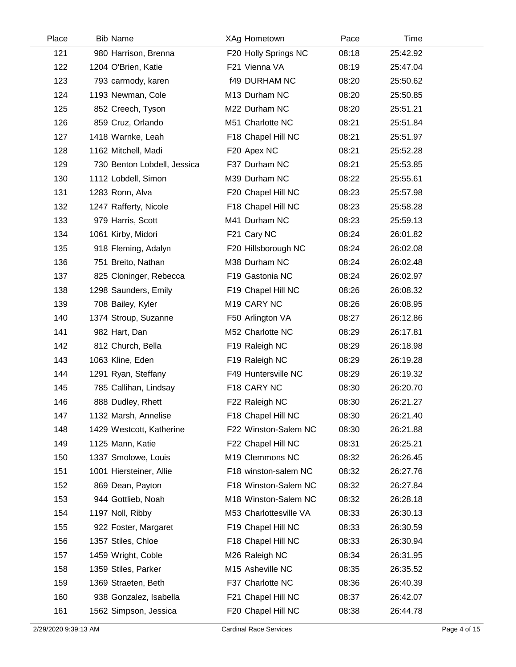| Place | <b>Bib Name</b>             | XAg Hometown            | Pace  | Time     |  |
|-------|-----------------------------|-------------------------|-------|----------|--|
| 121   | 980 Harrison, Brenna        | F20 Holly Springs NC    | 08:18 | 25:42.92 |  |
| 122   | 1204 O'Brien, Katie         | F21 Vienna VA           | 08:19 | 25:47.04 |  |
| 123   | 793 carmody, karen          | <b>f49 DURHAM NC</b>    | 08:20 | 25:50.62 |  |
| 124   | 1193 Newman, Cole           | M13 Durham NC           | 08:20 | 25:50.85 |  |
| 125   | 852 Creech, Tyson           | M22 Durham NC           | 08:20 | 25:51.21 |  |
| 126   | 859 Cruz, Orlando           | M51 Charlotte NC        | 08:21 | 25:51.84 |  |
| 127   | 1418 Warnke, Leah           | F18 Chapel Hill NC      | 08:21 | 25:51.97 |  |
| 128   | 1162 Mitchell, Madi         | F20 Apex NC             | 08:21 | 25:52.28 |  |
| 129   | 730 Benton Lobdell, Jessica | F37 Durham NC           | 08:21 | 25:53.85 |  |
| 130   | 1112 Lobdell, Simon         | M39 Durham NC           | 08:22 | 25:55.61 |  |
| 131   | 1283 Ronn, Alva             | F20 Chapel Hill NC      | 08:23 | 25:57.98 |  |
| 132   | 1247 Rafferty, Nicole       | F18 Chapel Hill NC      | 08:23 | 25:58.28 |  |
| 133   | 979 Harris, Scott           | M41 Durham NC           | 08:23 | 25:59.13 |  |
| 134   | 1061 Kirby, Midori          | F21 Cary NC             | 08:24 | 26:01.82 |  |
| 135   | 918 Fleming, Adalyn         | F20 Hillsborough NC     | 08:24 | 26:02.08 |  |
| 136   | 751 Breito, Nathan          | M38 Durham NC           | 08:24 | 26:02.48 |  |
| 137   | 825 Cloninger, Rebecca      | F19 Gastonia NC         | 08:24 | 26:02.97 |  |
| 138   | 1298 Saunders, Emily        | F19 Chapel Hill NC      | 08:26 | 26:08.32 |  |
| 139   | 708 Bailey, Kyler           | M <sub>19</sub> CARY NC | 08:26 | 26:08.95 |  |
| 140   | 1374 Stroup, Suzanne        | F50 Arlington VA        | 08:27 | 26:12.86 |  |
| 141   | 982 Hart, Dan               | M52 Charlotte NC        | 08:29 | 26:17.81 |  |
| 142   | 812 Church, Bella           | F19 Raleigh NC          | 08:29 | 26:18.98 |  |
| 143   | 1063 Kline, Eden            | F19 Raleigh NC          | 08:29 | 26:19.28 |  |
| 144   | 1291 Ryan, Steffany         | F49 Huntersville NC     | 08:29 | 26:19.32 |  |
| 145   | 785 Callihan, Lindsay       | F18 CARY NC             | 08:30 | 26:20.70 |  |
| 146   | 888 Dudley, Rhett           | F22 Raleigh NC          | 08:30 | 26:21.27 |  |
| 147   | 1132 Marsh, Annelise        | F18 Chapel Hill NC      | 08:30 | 26:21.40 |  |
| 148   | 1429 Westcott, Katherine    | F22 Winston-Salem NC    | 08:30 | 26:21.88 |  |
| 149   | 1125 Mann, Katie            | F22 Chapel Hill NC      | 08:31 | 26:25.21 |  |
| 150   | 1337 Smolowe, Louis         | M19 Clemmons NC         | 08:32 | 26:26.45 |  |
| 151   | 1001 Hiersteiner, Allie     | F18 winston-salem NC    | 08:32 | 26:27.76 |  |
| 152   | 869 Dean, Payton            | F18 Winston-Salem NC    | 08:32 | 26:27.84 |  |
| 153   | 944 Gottlieb, Noah          | M18 Winston-Salem NC    | 08:32 | 26:28.18 |  |
| 154   | 1197 Noll, Ribby            | M53 Charlottesville VA  | 08:33 | 26:30.13 |  |
| 155   | 922 Foster, Margaret        | F19 Chapel Hill NC      | 08:33 | 26:30.59 |  |
| 156   | 1357 Stiles, Chloe          | F18 Chapel Hill NC      | 08:33 | 26:30.94 |  |
| 157   | 1459 Wright, Coble          | M26 Raleigh NC          | 08:34 | 26:31.95 |  |
| 158   | 1359 Stiles, Parker         | M15 Asheville NC        | 08:35 | 26:35.52 |  |
| 159   | 1369 Straeten, Beth         | F37 Charlotte NC        | 08:36 | 26:40.39 |  |
| 160   | 938 Gonzalez, Isabella      | F21 Chapel Hill NC      | 08:37 | 26:42.07 |  |
| 161   | 1562 Simpson, Jessica       | F20 Chapel Hill NC      | 08:38 | 26:44.78 |  |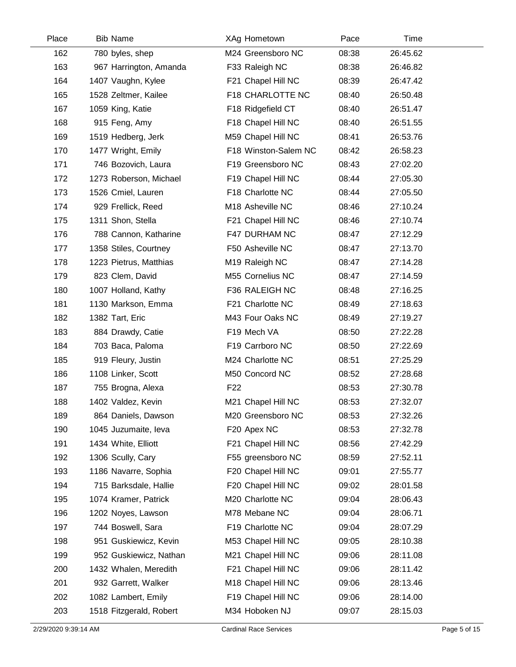| Place | <b>Bib Name</b>         | XAg Hometown               | Pace  | Time     |  |
|-------|-------------------------|----------------------------|-------|----------|--|
| 162   | 780 byles, shep         | M24 Greensboro NC          | 08:38 | 26:45.62 |  |
| 163   | 967 Harrington, Amanda  | F33 Raleigh NC             | 08:38 | 26:46.82 |  |
| 164   | 1407 Vaughn, Kylee      | F21 Chapel Hill NC         | 08:39 | 26:47.42 |  |
| 165   | 1528 Zeltmer, Kailee    | F18 CHARLOTTE NC           | 08:40 | 26:50.48 |  |
| 167   | 1059 King, Katie        | F18 Ridgefield CT          | 08:40 | 26:51.47 |  |
| 168   | 915 Feng, Amy           | F18 Chapel Hill NC         | 08:40 | 26:51.55 |  |
| 169   | 1519 Hedberg, Jerk      | M59 Chapel Hill NC         | 08:41 | 26:53.76 |  |
| 170   | 1477 Wright, Emily      | F18 Winston-Salem NC       | 08:42 | 26:58.23 |  |
| 171   | 746 Bozovich, Laura     | F19 Greensboro NC          | 08:43 | 27:02.20 |  |
| 172   | 1273 Roberson, Michael  | F19 Chapel Hill NC         | 08:44 | 27:05.30 |  |
| 173   | 1526 Cmiel, Lauren      | F18 Charlotte NC           | 08:44 | 27:05.50 |  |
| 174   | 929 Frellick, Reed      | M18 Asheville NC           | 08:46 | 27:10.24 |  |
| 175   | 1311 Shon, Stella       | F21 Chapel Hill NC         | 08:46 | 27:10.74 |  |
| 176   | 788 Cannon, Katharine   | F47 DURHAM NC              | 08:47 | 27:12.29 |  |
| 177   | 1358 Stiles, Courtney   | F50 Asheville NC           | 08:47 | 27:13.70 |  |
| 178   | 1223 Pietrus, Matthias  | M <sub>19</sub> Raleigh NC | 08:47 | 27:14.28 |  |
| 179   | 823 Clem, David         | M55 Cornelius NC           | 08:47 | 27:14.59 |  |
| 180   | 1007 Holland, Kathy     | F36 RALEIGH NC             | 08:48 | 27:16.25 |  |
| 181   | 1130 Markson, Emma      | F21 Charlotte NC           | 08:49 | 27:18.63 |  |
| 182   | 1382 Tart, Eric         | M43 Four Oaks NC           | 08:49 | 27:19.27 |  |
| 183   | 884 Drawdy, Catie       | F19 Mech VA                | 08:50 | 27:22.28 |  |
| 184   | 703 Baca, Paloma        | F19 Carrboro NC            | 08:50 | 27:22.69 |  |
| 185   | 919 Fleury, Justin      | M24 Charlotte NC           | 08:51 | 27:25.29 |  |
| 186   | 1108 Linker, Scott      | M50 Concord NC             | 08:52 | 27:28.68 |  |
| 187   | 755 Brogna, Alexa       | F <sub>22</sub>            | 08:53 | 27:30.78 |  |
| 188   | 1402 Valdez, Kevin      | M21 Chapel Hill NC         | 08:53 | 27:32.07 |  |
| 189   | 864 Daniels, Dawson     | M20 Greensboro NC          | 08:53 | 27:32.26 |  |
| 190   | 1045 Juzumaite, leva    | F20 Apex NC                | 08:53 | 27:32.78 |  |
| 191   | 1434 White, Elliott     | F21 Chapel Hill NC         | 08:56 | 27:42.29 |  |
| 192   | 1306 Scully, Cary       | F55 greensboro NC          | 08:59 | 27:52.11 |  |
| 193   | 1186 Navarre, Sophia    | F20 Chapel Hill NC         | 09:01 | 27:55.77 |  |
| 194   | 715 Barksdale, Hallie   | F20 Chapel Hill NC         | 09:02 | 28:01.58 |  |
| 195   | 1074 Kramer, Patrick    | M20 Charlotte NC           | 09:04 | 28:06.43 |  |
| 196   | 1202 Noyes, Lawson      | M78 Mebane NC              | 09:04 | 28:06.71 |  |
| 197   | 744 Boswell, Sara       | F19 Charlotte NC           | 09:04 | 28:07.29 |  |
| 198   | 951 Guskiewicz, Kevin   | M53 Chapel Hill NC         | 09:05 | 28:10.38 |  |
| 199   | 952 Guskiewicz, Nathan  | M21 Chapel Hill NC         | 09:06 | 28:11.08 |  |
| 200   | 1432 Whalen, Meredith   | F21 Chapel Hill NC         | 09:06 | 28:11.42 |  |
| 201   | 932 Garrett, Walker     | M18 Chapel Hill NC         | 09:06 | 28:13.46 |  |
| 202   | 1082 Lambert, Emily     | F19 Chapel Hill NC         | 09:06 | 28:14.00 |  |
| 203   | 1518 Fitzgerald, Robert | M34 Hoboken NJ             | 09:07 | 28:15.03 |  |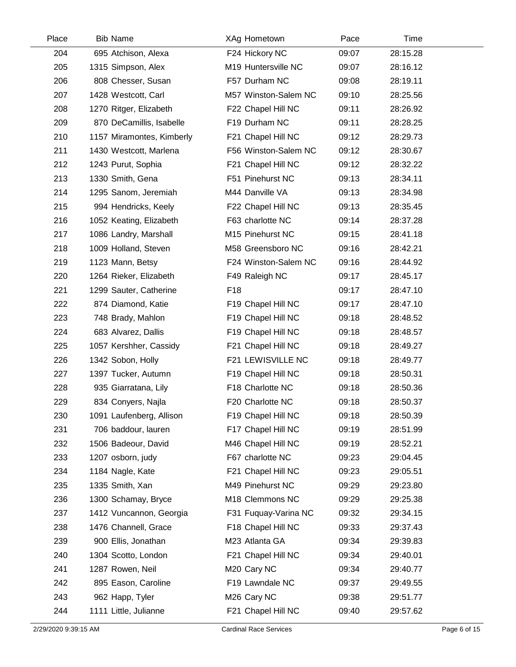| Place | <b>Bib Name</b>           | XAg Hometown            | Pace  | Time     |  |
|-------|---------------------------|-------------------------|-------|----------|--|
| 204   | 695 Atchison, Alexa       | F24 Hickory NC          | 09:07 | 28:15.28 |  |
| 205   | 1315 Simpson, Alex        | M19 Huntersville NC     | 09:07 | 28:16.12 |  |
| 206   | 808 Chesser, Susan        | F57 Durham NC           | 09:08 | 28:19.11 |  |
| 207   | 1428 Westcott, Carl       | M57 Winston-Salem NC    | 09:10 | 28:25.56 |  |
| 208   | 1270 Ritger, Elizabeth    | F22 Chapel Hill NC      | 09:11 | 28:26.92 |  |
| 209   | 870 DeCamillis, Isabelle  | F19 Durham NC           | 09:11 | 28:28.25 |  |
| 210   | 1157 Miramontes, Kimberly | F21 Chapel Hill NC      | 09:12 | 28:29.73 |  |
| 211   | 1430 Westcott, Marlena    | F56 Winston-Salem NC    | 09:12 | 28:30.67 |  |
| 212   | 1243 Purut, Sophia        | F21 Chapel Hill NC      | 09:12 | 28:32.22 |  |
| 213   | 1330 Smith, Gena          | F51 Pinehurst NC        | 09:13 | 28:34.11 |  |
| 214   | 1295 Sanom, Jeremiah      | M44 Danville VA         | 09:13 | 28:34.98 |  |
| 215   | 994 Hendricks, Keely      | F22 Chapel Hill NC      | 09:13 | 28:35.45 |  |
| 216   | 1052 Keating, Elizabeth   | F63 charlotte NC        | 09:14 | 28:37.28 |  |
| 217   | 1086 Landry, Marshall     | M15 Pinehurst NC        | 09:15 | 28:41.18 |  |
| 218   | 1009 Holland, Steven      | M58 Greensboro NC       | 09:16 | 28:42.21 |  |
| 219   | 1123 Mann, Betsy          | F24 Winston-Salem NC    | 09:16 | 28:44.92 |  |
| 220   | 1264 Rieker, Elizabeth    | F49 Raleigh NC          | 09:17 | 28:45.17 |  |
| 221   | 1299 Sauter, Catherine    | F <sub>18</sub>         | 09:17 | 28:47.10 |  |
| 222   | 874 Diamond, Katie        | F19 Chapel Hill NC      | 09:17 | 28:47.10 |  |
| 223   | 748 Brady, Mahlon         | F19 Chapel Hill NC      | 09:18 | 28:48.52 |  |
| 224   | 683 Alvarez, Dallis       | F19 Chapel Hill NC      | 09:18 | 28:48.57 |  |
| 225   | 1057 Kershher, Cassidy    | F21 Chapel Hill NC      | 09:18 | 28:49.27 |  |
| 226   | 1342 Sobon, Holly         | F21 LEWISVILLE NC       | 09:18 | 28:49.77 |  |
| 227   | 1397 Tucker, Autumn       | F19 Chapel Hill NC      | 09:18 | 28:50.31 |  |
| 228   | 935 Giarratana, Lily      | F18 Charlotte NC        | 09:18 | 28:50.36 |  |
| 229   | 834 Conyers, Najla        | F20 Charlotte NC        | 09:18 | 28:50.37 |  |
| 230   | 1091 Laufenberg, Allison  | F19 Chapel Hill NC      | 09:18 | 28:50.39 |  |
| 231   | 706 baddour, lauren       | F17 Chapel Hill NC      | 09:19 | 28:51.99 |  |
| 232   | 1506 Badeour, David       | M46 Chapel Hill NC      | 09:19 | 28:52.21 |  |
| 233   | 1207 osborn, judy         | F67 charlotte NC        | 09:23 | 29:04.45 |  |
| 234   | 1184 Nagle, Kate          | F21 Chapel Hill NC      | 09:23 | 29:05.51 |  |
| 235   | 1335 Smith, Xan           | M49 Pinehurst NC        | 09:29 | 29:23.80 |  |
| 236   | 1300 Schamay, Bryce       | M18 Clemmons NC         | 09:29 | 29:25.38 |  |
| 237   | 1412 Vuncannon, Georgia   | F31 Fuquay-Varina NC    | 09:32 | 29:34.15 |  |
| 238   | 1476 Channell, Grace      | F18 Chapel Hill NC      | 09:33 | 29:37.43 |  |
| 239   | 900 Ellis, Jonathan       | M23 Atlanta GA          | 09:34 | 29:39.83 |  |
| 240   | 1304 Scotto, London       | F21 Chapel Hill NC      | 09:34 | 29:40.01 |  |
| 241   | 1287 Rowen, Neil          | M <sub>20</sub> Cary NC | 09:34 | 29:40.77 |  |
| 242   | 895 Eason, Caroline       | F19 Lawndale NC         | 09:37 | 29:49.55 |  |
| 243   | 962 Happ, Tyler           | M <sub>26</sub> Cary NC | 09:38 | 29:51.77 |  |
| 244   | 1111 Little, Julianne     | F21 Chapel Hill NC      | 09:40 | 29:57.62 |  |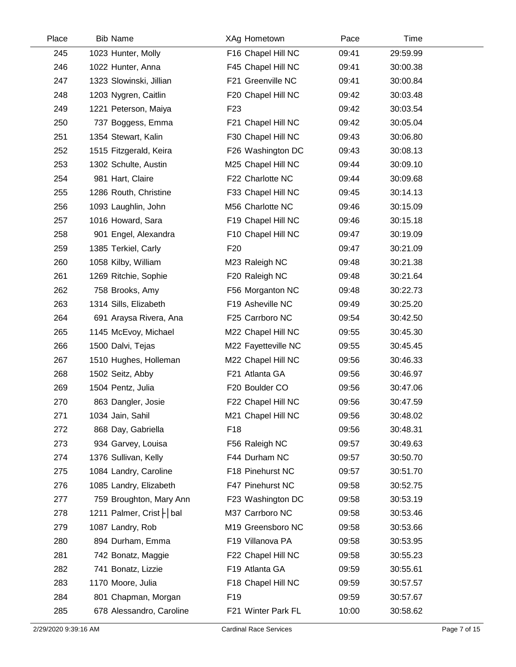| Place | <b>Bib Name</b>                        | XAg Hometown        | Pace  | Time     |  |
|-------|----------------------------------------|---------------------|-------|----------|--|
| 245   | 1023 Hunter, Molly                     | F16 Chapel Hill NC  | 09:41 | 29:59.99 |  |
| 246   | 1022 Hunter, Anna                      | F45 Chapel Hill NC  | 09:41 | 30:00.38 |  |
| 247   | 1323 Slowinski, Jillian                | F21 Greenville NC   | 09:41 | 30:00.84 |  |
| 248   | 1203 Nygren, Caitlin                   | F20 Chapel Hill NC  | 09:42 | 30:03.48 |  |
| 249   | 1221 Peterson, Maiya                   | F <sub>23</sub>     | 09:42 | 30:03.54 |  |
| 250   | 737 Boggess, Emma                      | F21 Chapel Hill NC  | 09:42 | 30:05.04 |  |
| 251   | 1354 Stewart, Kalin                    | F30 Chapel Hill NC  | 09:43 | 30:06.80 |  |
| 252   | 1515 Fitzgerald, Keira                 | F26 Washington DC   | 09:43 | 30:08.13 |  |
| 253   | 1302 Schulte, Austin                   | M25 Chapel Hill NC  | 09:44 | 30:09.10 |  |
| 254   | 981 Hart, Claire                       | F22 Charlotte NC    | 09:44 | 30:09.68 |  |
| 255   | 1286 Routh, Christine                  | F33 Chapel Hill NC  | 09:45 | 30:14.13 |  |
| 256   | 1093 Laughlin, John                    | M56 Charlotte NC    | 09:46 | 30:15.09 |  |
| 257   | 1016 Howard, Sara                      | F19 Chapel Hill NC  | 09:46 | 30:15.18 |  |
| 258   | 901 Engel, Alexandra                   | F10 Chapel Hill NC  | 09:47 | 30:19.09 |  |
| 259   | 1385 Terkiel, Carly                    | F <sub>20</sub>     | 09:47 | 30:21.09 |  |
| 260   | 1058 Kilby, William                    | M23 Raleigh NC      | 09:48 | 30:21.38 |  |
| 261   | 1269 Ritchie, Sophie                   | F20 Raleigh NC      | 09:48 | 30:21.64 |  |
| 262   | 758 Brooks, Amy                        | F56 Morganton NC    | 09:48 | 30:22.73 |  |
| 263   | 1314 Sills, Elizabeth                  | F19 Asheville NC    | 09:49 | 30:25.20 |  |
| 264   | 691 Araysa Rivera, Ana                 | F25 Carrboro NC     | 09:54 | 30:42.50 |  |
| 265   | 1145 McEvoy, Michael                   | M22 Chapel Hill NC  | 09:55 | 30:45.30 |  |
| 266   | 1500 Dalvi, Tejas                      | M22 Fayetteville NC | 09:55 | 30:45.45 |  |
| 267   | 1510 Hughes, Holleman                  | M22 Chapel Hill NC  | 09:56 | 30:46.33 |  |
| 268   | 1502 Seitz, Abby                       | F21 Atlanta GA      | 09:56 | 30:46.97 |  |
| 269   | 1504 Pentz, Julia                      | F20 Boulder CO      | 09:56 | 30:47.06 |  |
| 270   | 863 Dangler, Josie                     | F22 Chapel Hill NC  | 09:56 | 30:47.59 |  |
| 271   | 1034 Jain, Sahil                       | M21 Chapel Hill NC  | 09:56 | 30:48.02 |  |
| 272   | 868 Day, Gabriella                     | F18                 | 09:56 | 30:48.31 |  |
| 273   | 934 Garvey, Louisa                     | F56 Raleigh NC      | 09:57 | 30:49.63 |  |
| 274   | 1376 Sullivan, Kelly                   | F44 Durham NC       | 09:57 | 30:50.70 |  |
| 275   | 1084 Landry, Caroline                  | F18 Pinehurst NC    | 09:57 | 30:51.70 |  |
| 276   | 1085 Landry, Elizabeth                 | F47 Pinehurst NC    | 09:58 | 30:52.75 |  |
| 277   | 759 Broughton, Mary Ann                | F23 Washington DC   | 09:58 | 30:53.19 |  |
| 278   | 1211 Palmer, Crist $\left \right $ bal | M37 Carrboro NC     | 09:58 | 30:53.46 |  |
| 279   | 1087 Landry, Rob                       | M19 Greensboro NC   | 09:58 | 30:53.66 |  |
| 280   | 894 Durham, Emma                       | F19 Villanova PA    | 09:58 | 30:53.95 |  |
| 281   | 742 Bonatz, Maggie                     | F22 Chapel Hill NC  | 09:58 | 30:55.23 |  |
| 282   | 741 Bonatz, Lizzie                     | F19 Atlanta GA      | 09:59 | 30:55.61 |  |
| 283   | 1170 Moore, Julia                      | F18 Chapel Hill NC  | 09:59 | 30:57.57 |  |
| 284   | 801 Chapman, Morgan                    | F <sub>19</sub>     | 09:59 | 30:57.67 |  |
| 285   | 678 Alessandro, Caroline               | F21 Winter Park FL  | 10:00 | 30:58.62 |  |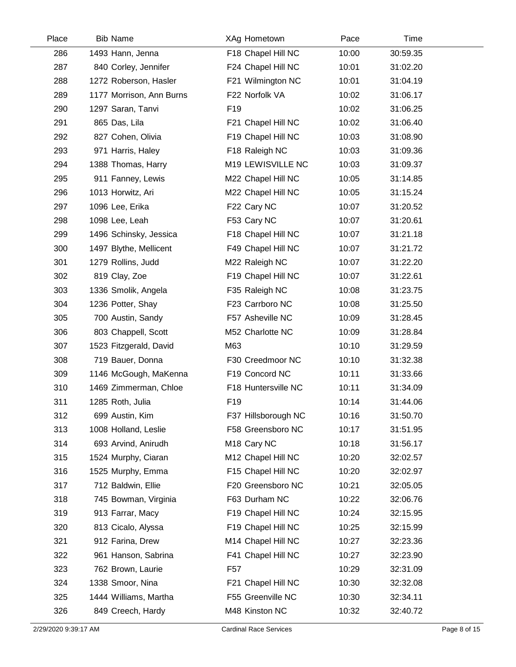| Place | <b>Bib Name</b>          | XAg Hometown            | Pace  | Time     |  |
|-------|--------------------------|-------------------------|-------|----------|--|
| 286   | 1493 Hann, Jenna         | F18 Chapel Hill NC      | 10:00 | 30:59.35 |  |
| 287   | 840 Corley, Jennifer     | F24 Chapel Hill NC      | 10:01 | 31:02.20 |  |
| 288   | 1272 Roberson, Hasler    | F21 Wilmington NC       | 10:01 | 31:04.19 |  |
| 289   | 1177 Morrison, Ann Burns | F22 Norfolk VA          | 10:02 | 31:06.17 |  |
| 290   | 1297 Saran, Tanvi        | F <sub>19</sub>         | 10:02 | 31:06.25 |  |
| 291   | 865 Das, Lila            | F21 Chapel Hill NC      | 10:02 | 31:06.40 |  |
| 292   | 827 Cohen, Olivia        | F19 Chapel Hill NC      | 10:03 | 31:08.90 |  |
| 293   | 971 Harris, Haley        | F18 Raleigh NC          | 10:03 | 31:09.36 |  |
| 294   | 1388 Thomas, Harry       | M19 LEWISVILLE NC       | 10:03 | 31:09.37 |  |
| 295   | 911 Fanney, Lewis        | M22 Chapel Hill NC      | 10:05 | 31:14.85 |  |
| 296   | 1013 Horwitz, Ari        | M22 Chapel Hill NC      | 10:05 | 31:15.24 |  |
| 297   | 1096 Lee, Erika          | F22 Cary NC             | 10:07 | 31:20.52 |  |
| 298   | 1098 Lee, Leah           | F53 Cary NC             | 10:07 | 31:20.61 |  |
| 299   | 1496 Schinsky, Jessica   | F18 Chapel Hill NC      | 10:07 | 31:21.18 |  |
| 300   | 1497 Blythe, Mellicent   | F49 Chapel Hill NC      | 10:07 | 31:21.72 |  |
| 301   | 1279 Rollins, Judd       | M22 Raleigh NC          | 10:07 | 31:22.20 |  |
| 302   | 819 Clay, Zoe            | F19 Chapel Hill NC      | 10:07 | 31:22.61 |  |
| 303   | 1336 Smolik, Angela      | F35 Raleigh NC          | 10:08 | 31:23.75 |  |
| 304   | 1236 Potter, Shay        | F23 Carrboro NC         | 10:08 | 31:25.50 |  |
| 305   | 700 Austin, Sandy        | F57 Asheville NC        | 10:09 | 31:28.45 |  |
| 306   | 803 Chappell, Scott      | M52 Charlotte NC        | 10:09 | 31:28.84 |  |
| 307   | 1523 Fitzgerald, David   | M63                     | 10:10 | 31:29.59 |  |
| 308   | 719 Bauer, Donna         | F30 Creedmoor NC        | 10:10 | 31:32.38 |  |
| 309   | 1146 McGough, MaKenna    | F19 Concord NC          | 10:11 | 31:33.66 |  |
| 310   | 1469 Zimmerman, Chloe    | F18 Huntersville NC     | 10:11 | 31:34.09 |  |
| 311   | 1285 Roth, Julia         | F19                     | 10:14 | 31:44.06 |  |
| 312   | 699 Austin, Kim          | F37 Hillsborough NC     | 10:16 | 31:50.70 |  |
| 313   | 1008 Holland, Leslie     | F58 Greensboro NC       | 10:17 | 31:51.95 |  |
| 314   | 693 Arvind, Anirudh      | M <sub>18</sub> Cary NC | 10:18 | 31:56.17 |  |
| 315   | 1524 Murphy, Ciaran      | M12 Chapel Hill NC      | 10:20 | 32:02.57 |  |
| 316   | 1525 Murphy, Emma        | F15 Chapel Hill NC      | 10:20 | 32:02.97 |  |
| 317   | 712 Baldwin, Ellie       | F20 Greensboro NC       | 10:21 | 32:05.05 |  |
| 318   | 745 Bowman, Virginia     | F63 Durham NC           | 10:22 | 32:06.76 |  |
| 319   | 913 Farrar, Macy         | F19 Chapel Hill NC      | 10:24 | 32:15.95 |  |
| 320   | 813 Cicalo, Alyssa       | F19 Chapel Hill NC      | 10:25 | 32:15.99 |  |
| 321   | 912 Farina, Drew         | M14 Chapel Hill NC      | 10:27 | 32:23.36 |  |
| 322   | 961 Hanson, Sabrina      | F41 Chapel Hill NC      | 10:27 | 32:23.90 |  |
| 323   | 762 Brown, Laurie        | F <sub>57</sub>         | 10:29 | 32:31.09 |  |
| 324   | 1338 Smoor, Nina         | F21 Chapel Hill NC      | 10:30 | 32:32.08 |  |
| 325   | 1444 Williams, Martha    | F55 Greenville NC       | 10:30 | 32:34.11 |  |
| 326   | 849 Creech, Hardy        | M48 Kinston NC          | 10:32 | 32:40.72 |  |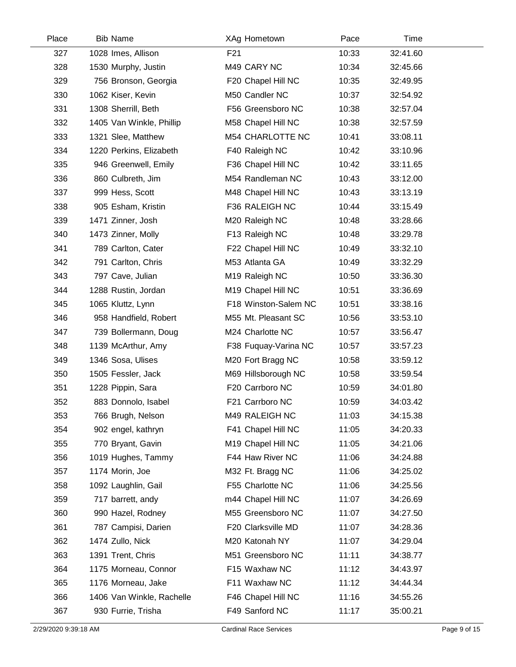| Place | <b>Bib Name</b>           | XAg Hometown         | Pace  | Time     |  |
|-------|---------------------------|----------------------|-------|----------|--|
| 327   | 1028 Imes, Allison        | F <sub>21</sub>      | 10:33 | 32:41.60 |  |
| 328   | 1530 Murphy, Justin       | M49 CARY NC          | 10:34 | 32:45.66 |  |
| 329   | 756 Bronson, Georgia      | F20 Chapel Hill NC   | 10:35 | 32:49.95 |  |
| 330   | 1062 Kiser, Kevin         | M50 Candler NC       | 10:37 | 32:54.92 |  |
| 331   | 1308 Sherrill, Beth       | F56 Greensboro NC    | 10:38 | 32:57.04 |  |
| 332   | 1405 Van Winkle, Phillip  | M58 Chapel Hill NC   | 10:38 | 32:57.59 |  |
| 333   | 1321 Slee, Matthew        | M54 CHARLOTTE NC     | 10:41 | 33:08.11 |  |
| 334   | 1220 Perkins, Elizabeth   | F40 Raleigh NC       | 10:42 | 33:10.96 |  |
| 335   | 946 Greenwell, Emily      | F36 Chapel Hill NC   | 10:42 | 33:11.65 |  |
| 336   | 860 Culbreth, Jim         | M54 Randleman NC     | 10:43 | 33:12.00 |  |
| 337   | 999 Hess, Scott           | M48 Chapel Hill NC   | 10:43 | 33:13.19 |  |
| 338   | 905 Esham, Kristin        | F36 RALEIGH NC       | 10:44 | 33:15.49 |  |
| 339   | 1471 Zinner, Josh         | M20 Raleigh NC       | 10:48 | 33:28.66 |  |
| 340   | 1473 Zinner, Molly        | F13 Raleigh NC       | 10:48 | 33:29.78 |  |
| 341   | 789 Carlton, Cater        | F22 Chapel Hill NC   | 10:49 | 33:32.10 |  |
| 342   | 791 Carlton, Chris        | M53 Atlanta GA       | 10:49 | 33:32.29 |  |
| 343   | 797 Cave, Julian          | M19 Raleigh NC       | 10:50 | 33:36.30 |  |
| 344   | 1288 Rustin, Jordan       | M19 Chapel Hill NC   | 10:51 | 33:36.69 |  |
| 345   | 1065 Kluttz, Lynn         | F18 Winston-Salem NC | 10:51 | 33:38.16 |  |
| 346   | 958 Handfield, Robert     | M55 Mt. Pleasant SC  | 10:56 | 33:53.10 |  |
| 347   | 739 Bollermann, Doug      | M24 Charlotte NC     | 10:57 | 33:56.47 |  |
| 348   | 1139 McArthur, Amy        | F38 Fuquay-Varina NC | 10:57 | 33:57.23 |  |
| 349   | 1346 Sosa, Ulises         | M20 Fort Bragg NC    | 10:58 | 33:59.12 |  |
| 350   | 1505 Fessler, Jack        | M69 Hillsborough NC  | 10:58 | 33:59.54 |  |
| 351   | 1228 Pippin, Sara         | F20 Carrboro NC      | 10:59 | 34:01.80 |  |
| 352   | 883 Donnolo, Isabel       | F21 Carrboro NC      | 10:59 | 34:03.42 |  |
| 353   | 766 Brugh, Nelson         | M49 RALEIGH NC       | 11:03 | 34:15.38 |  |
| 354   | 902 engel, kathryn        | F41 Chapel Hill NC   | 11:05 | 34:20.33 |  |
| 355   | 770 Bryant, Gavin         | M19 Chapel Hill NC   | 11:05 | 34:21.06 |  |
| 356   | 1019 Hughes, Tammy        | F44 Haw River NC     | 11:06 | 34:24.88 |  |
| 357   | 1174 Morin, Joe           | M32 Ft. Bragg NC     | 11:06 | 34:25.02 |  |
| 358   | 1092 Laughlin, Gail       | F55 Charlotte NC     | 11:06 | 34:25.56 |  |
| 359   | 717 barrett, andy         | m44 Chapel Hill NC   | 11:07 | 34:26.69 |  |
| 360   | 990 Hazel, Rodney         | M55 Greensboro NC    | 11:07 | 34:27.50 |  |
| 361   | 787 Campisi, Darien       | F20 Clarksville MD   | 11:07 | 34:28.36 |  |
| 362   | 1474 Zullo, Nick          | M20 Katonah NY       | 11:07 | 34:29.04 |  |
| 363   | 1391 Trent, Chris         | M51 Greensboro NC    | 11:11 | 34:38.77 |  |
| 364   | 1175 Morneau, Connor      | F15 Waxhaw NC        | 11:12 | 34:43.97 |  |
| 365   | 1176 Morneau, Jake        | F11 Waxhaw NC        | 11:12 | 34:44.34 |  |
| 366   | 1406 Van Winkle, Rachelle | F46 Chapel Hill NC   | 11:16 | 34:55.26 |  |
| 367   | 930 Furrie, Trisha        | F49 Sanford NC       | 11:17 | 35:00.21 |  |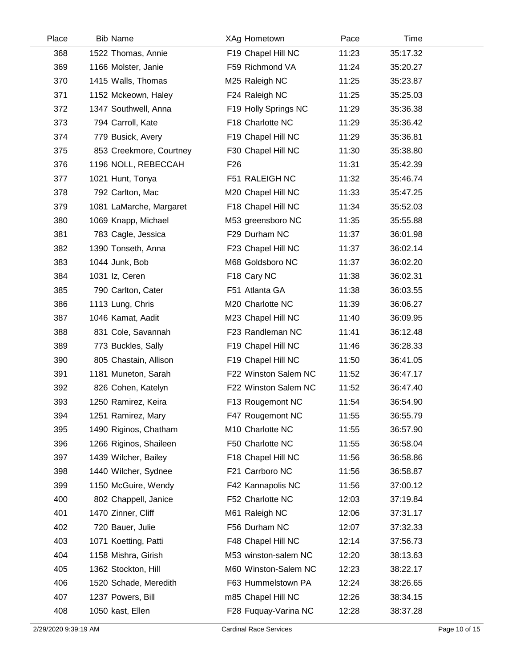| Place | <b>Bib Name</b>         | XAg Hometown         | Pace  | Time     |  |
|-------|-------------------------|----------------------|-------|----------|--|
| 368   | 1522 Thomas, Annie      | F19 Chapel Hill NC   | 11:23 | 35:17.32 |  |
| 369   | 1166 Molster, Janie     | F59 Richmond VA      | 11:24 | 35:20.27 |  |
| 370   | 1415 Walls, Thomas      | M25 Raleigh NC       | 11:25 | 35:23.87 |  |
| 371   | 1152 Mckeown, Haley     | F24 Raleigh NC       | 11:25 | 35:25.03 |  |
| 372   | 1347 Southwell, Anna    | F19 Holly Springs NC | 11:29 | 35:36.38 |  |
| 373   | 794 Carroll, Kate       | F18 Charlotte NC     | 11:29 | 35:36.42 |  |
| 374   | 779 Busick, Avery       | F19 Chapel Hill NC   | 11:29 | 35:36.81 |  |
| 375   | 853 Creekmore, Courtney | F30 Chapel Hill NC   | 11:30 | 35:38.80 |  |
| 376   | 1196 NOLL, REBECCAH     | F <sub>26</sub>      | 11:31 | 35:42.39 |  |
| 377   | 1021 Hunt, Tonya        | F51 RALEIGH NC       | 11:32 | 35:46.74 |  |
| 378   | 792 Carlton, Mac        | M20 Chapel Hill NC   | 11:33 | 35:47.25 |  |
| 379   | 1081 LaMarche, Margaret | F18 Chapel Hill NC   | 11:34 | 35:52.03 |  |
| 380   | 1069 Knapp, Michael     | M53 greensboro NC    | 11:35 | 35:55.88 |  |
| 381   | 783 Cagle, Jessica      | F29 Durham NC        | 11:37 | 36:01.98 |  |
| 382   | 1390 Tonseth, Anna      | F23 Chapel Hill NC   | 11:37 | 36:02.14 |  |
| 383   | 1044 Junk, Bob          | M68 Goldsboro NC     | 11:37 | 36:02.20 |  |
| 384   | 1031 Iz, Ceren          | F18 Cary NC          | 11:38 | 36:02.31 |  |
| 385   | 790 Carlton, Cater      | F51 Atlanta GA       | 11:38 | 36:03.55 |  |
| 386   | 1113 Lung, Chris        | M20 Charlotte NC     | 11:39 | 36:06.27 |  |
| 387   | 1046 Kamat, Aadit       | M23 Chapel Hill NC   | 11:40 | 36:09.95 |  |
| 388   | 831 Cole, Savannah      | F23 Randleman NC     | 11:41 | 36:12.48 |  |
| 389   | 773 Buckles, Sally      | F19 Chapel Hill NC   | 11:46 | 36:28.33 |  |
| 390   | 805 Chastain, Allison   | F19 Chapel Hill NC   | 11:50 | 36:41.05 |  |
| 391   | 1181 Muneton, Sarah     | F22 Winston Salem NC | 11:52 | 36:47.17 |  |
| 392   | 826 Cohen, Katelyn      | F22 Winston Salem NC | 11:52 | 36:47.40 |  |
| 393   | 1250 Ramirez, Keira     | F13 Rougemont NC     | 11:54 | 36:54.90 |  |
| 394   | 1251 Ramirez, Mary      | F47 Rougemont NC     | 11:55 | 36:55.79 |  |
| 395   | 1490 Riginos, Chatham   | M10 Charlotte NC     | 11:55 | 36:57.90 |  |
| 396   | 1266 Riginos, Shaileen  | F50 Charlotte NC     | 11:55 | 36:58.04 |  |
| 397   | 1439 Wilcher, Bailey    | F18 Chapel Hill NC   | 11:56 | 36:58.86 |  |
| 398   | 1440 Wilcher, Sydnee    | F21 Carrboro NC      | 11:56 | 36:58.87 |  |
| 399   | 1150 McGuire, Wendy     | F42 Kannapolis NC    | 11:56 | 37:00.12 |  |
| 400   | 802 Chappell, Janice    | F52 Charlotte NC     | 12:03 | 37:19.84 |  |
| 401   | 1470 Zinner, Cliff      | M61 Raleigh NC       | 12:06 | 37:31.17 |  |
| 402   | 720 Bauer, Julie        | F56 Durham NC        | 12:07 | 37:32.33 |  |
| 403   | 1071 Koetting, Patti    | F48 Chapel Hill NC   | 12:14 | 37:56.73 |  |
| 404   | 1158 Mishra, Girish     | M53 winston-salem NC | 12:20 | 38:13.63 |  |
| 405   | 1362 Stockton, Hill     | M60 Winston-Salem NC | 12:23 | 38:22.17 |  |
| 406   | 1520 Schade, Meredith   | F63 Hummelstown PA   | 12:24 | 38:26.65 |  |
| 407   | 1237 Powers, Bill       | m85 Chapel Hill NC   | 12:26 | 38:34.15 |  |
| 408   | 1050 kast, Ellen        | F28 Fuquay-Varina NC | 12:28 | 38:37.28 |  |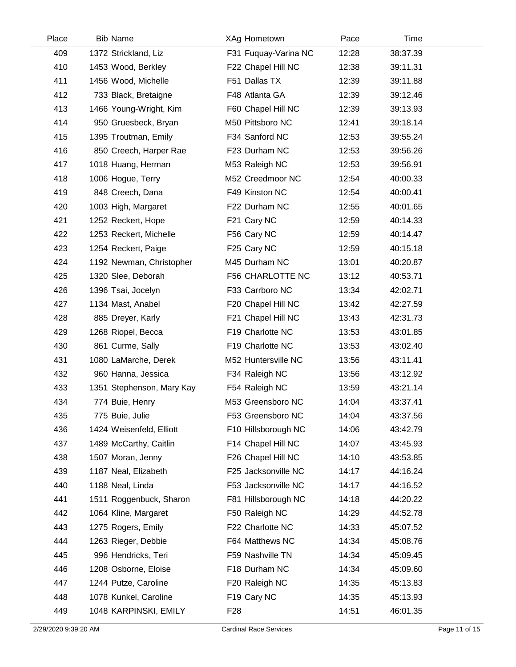| Place | <b>Bib Name</b>           | XAg Hometown         | Pace  | Time     |  |
|-------|---------------------------|----------------------|-------|----------|--|
| 409   | 1372 Strickland, Liz      | F31 Fuquay-Varina NC | 12:28 | 38:37.39 |  |
| 410   | 1453 Wood, Berkley        | F22 Chapel Hill NC   | 12:38 | 39:11.31 |  |
| 411   | 1456 Wood, Michelle       | F51 Dallas TX        | 12:39 | 39:11.88 |  |
| 412   | 733 Black, Bretaigne      | F48 Atlanta GA       | 12:39 | 39:12.46 |  |
| 413   | 1466 Young-Wright, Kim    | F60 Chapel Hill NC   | 12:39 | 39:13.93 |  |
| 414   | 950 Gruesbeck, Bryan      | M50 Pittsboro NC     | 12:41 | 39:18.14 |  |
| 415   | 1395 Troutman, Emily      | F34 Sanford NC       | 12:53 | 39:55.24 |  |
| 416   | 850 Creech, Harper Rae    | F23 Durham NC        | 12:53 | 39:56.26 |  |
| 417   | 1018 Huang, Herman        | M53 Raleigh NC       | 12:53 | 39:56.91 |  |
| 418   | 1006 Hogue, Terry         | M52 Creedmoor NC     | 12:54 | 40:00.33 |  |
| 419   | 848 Creech, Dana          | F49 Kinston NC       | 12:54 | 40:00.41 |  |
| 420   | 1003 High, Margaret       | F22 Durham NC        | 12:55 | 40:01.65 |  |
| 421   | 1252 Reckert, Hope        | F21 Cary NC          | 12:59 | 40:14.33 |  |
| 422   | 1253 Reckert, Michelle    | F56 Cary NC          | 12:59 | 40:14.47 |  |
| 423   | 1254 Reckert, Paige       | F25 Cary NC          | 12:59 | 40:15.18 |  |
| 424   | 1192 Newman, Christopher  | M45 Durham NC        | 13:01 | 40:20.87 |  |
| 425   | 1320 Slee, Deborah        | F56 CHARLOTTE NC     | 13:12 | 40:53.71 |  |
| 426   | 1396 Tsai, Jocelyn        | F33 Carrboro NC      | 13:34 | 42:02.71 |  |
| 427   | 1134 Mast, Anabel         | F20 Chapel Hill NC   | 13:42 | 42:27.59 |  |
| 428   | 885 Dreyer, Karly         | F21 Chapel Hill NC   | 13:43 | 42:31.73 |  |
| 429   | 1268 Riopel, Becca        | F19 Charlotte NC     | 13:53 | 43:01.85 |  |
| 430   | 861 Curme, Sally          | F19 Charlotte NC     | 13:53 | 43:02.40 |  |
| 431   | 1080 LaMarche, Derek      | M52 Huntersville NC  | 13:56 | 43:11.41 |  |
| 432   | 960 Hanna, Jessica        | F34 Raleigh NC       | 13:56 | 43:12.92 |  |
| 433   | 1351 Stephenson, Mary Kay | F54 Raleigh NC       | 13:59 | 43:21.14 |  |
| 434   | 774 Buie, Henry           | M53 Greensboro NC    | 14:04 | 43:37.41 |  |
| 435   | 775 Buie, Julie           | F53 Greensboro NC    | 14:04 | 43:37.56 |  |
| 436   | 1424 Weisenfeld, Elliott  | F10 Hillsborough NC  | 14:06 | 43:42.79 |  |
| 437   | 1489 McCarthy, Caitlin    | F14 Chapel Hill NC   | 14:07 | 43:45.93 |  |
| 438   | 1507 Moran, Jenny         | F26 Chapel Hill NC   | 14:10 | 43:53.85 |  |
| 439   | 1187 Neal, Elizabeth      | F25 Jacksonville NC  | 14:17 | 44:16.24 |  |
| 440   | 1188 Neal, Linda          | F53 Jacksonville NC  | 14:17 | 44:16.52 |  |
| 441   | 1511 Roggenbuck, Sharon   | F81 Hillsborough NC  | 14:18 | 44:20.22 |  |
| 442   | 1064 Kline, Margaret      | F50 Raleigh NC       | 14:29 | 44:52.78 |  |
| 443   | 1275 Rogers, Emily        | F22 Charlotte NC     | 14:33 | 45:07.52 |  |
| 444   | 1263 Rieger, Debbie       | F64 Matthews NC      | 14:34 | 45:08.76 |  |
| 445   | 996 Hendricks, Teri       | F59 Nashville TN     | 14:34 | 45:09.45 |  |
| 446   | 1208 Osborne, Eloise      | F18 Durham NC        | 14:34 | 45:09.60 |  |
| 447   | 1244 Putze, Caroline      | F20 Raleigh NC       | 14:35 | 45:13.83 |  |
| 448   | 1078 Kunkel, Caroline     | F19 Cary NC          | 14:35 | 45:13.93 |  |
| 449   | 1048 KARPINSKI, EMILY     | F <sub>28</sub>      | 14:51 | 46:01.35 |  |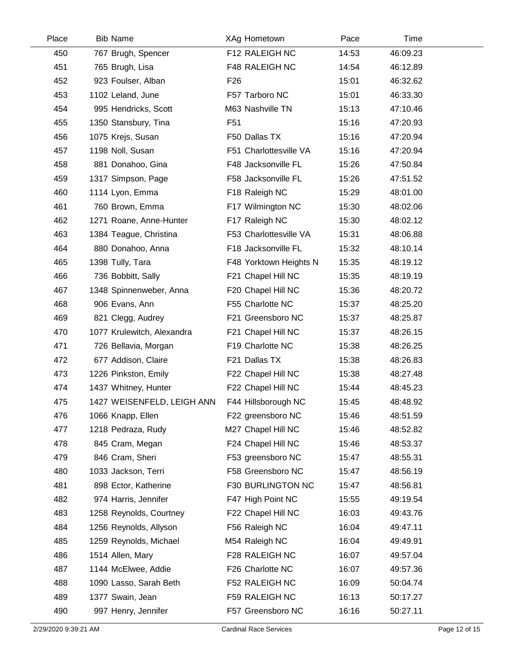| Place | <b>Bib Name</b>            | XAg Hometown           | Pace  | Time     |  |
|-------|----------------------------|------------------------|-------|----------|--|
| 450   | 767 Brugh, Spencer         | F12 RALEIGH NC         | 14:53 | 46:09.23 |  |
| 451   | 765 Brugh, Lisa            | F48 RALEIGH NC         | 14:54 | 46:12.89 |  |
| 452   | 923 Foulser, Alban         | F <sub>26</sub>        | 15:01 | 46:32.62 |  |
| 453   | 1102 Leland, June          | F57 Tarboro NC         | 15:01 | 46:33.30 |  |
| 454   | 995 Hendricks, Scott       | M63 Nashville TN       | 15:13 | 47:10.46 |  |
| 455   | 1350 Stansbury, Tina       | F <sub>51</sub>        | 15:16 | 47:20.93 |  |
| 456   | 1075 Krejs, Susan          | F50 Dallas TX          | 15:16 | 47:20.94 |  |
| 457   | 1198 Noll, Susan           | F51 Charlottesville VA | 15:16 | 47:20.94 |  |
| 458   | 881 Donahoo, Gina          | F48 Jacksonville FL    | 15:26 | 47:50.84 |  |
| 459   | 1317 Simpson, Page         | F58 Jacksonville FL    | 15:26 | 47:51.52 |  |
| 460   | 1114 Lyon, Emma            | F18 Raleigh NC         | 15:29 | 48:01.00 |  |
| 461   | 760 Brown, Emma            | F17 Wilmington NC      | 15:30 | 48:02.06 |  |
| 462   | 1271 Roane, Anne-Hunter    | F17 Raleigh NC         | 15:30 | 48:02.12 |  |
| 463   | 1384 Teague, Christina     | F53 Charlottesville VA | 15:31 | 48:06.88 |  |
| 464   | 880 Donahoo, Anna          | F18 Jacksonville FL    | 15:32 | 48:10.14 |  |
| 465   | 1398 Tully, Tara           | F48 Yorktown Heights N | 15:35 | 48:19.12 |  |
| 466   | 736 Bobbitt, Sally         | F21 Chapel Hill NC     | 15:35 | 48:19.19 |  |
| 467   | 1348 Spinnenweber, Anna    | F20 Chapel Hill NC     | 15:36 | 48:20.72 |  |
| 468   | 906 Evans, Ann             | F55 Charlotte NC       | 15:37 | 48:25.20 |  |
| 469   | 821 Clegg, Audrey          | F21 Greensboro NC      | 15:37 | 48:25.87 |  |
| 470   | 1077 Krulewitch, Alexandra | F21 Chapel Hill NC     | 15:37 | 48:26.15 |  |
| 471   | 726 Bellavia, Morgan       | F19 Charlotte NC       | 15:38 | 48:26.25 |  |
| 472   | 677 Addison, Claire        | F21 Dallas TX          | 15:38 | 48:26.83 |  |
| 473   | 1226 Pinkston, Emily       | F22 Chapel Hill NC     | 15:38 | 48:27.48 |  |
| 474   | 1437 Whitney, Hunter       | F22 Chapel Hill NC     | 15:44 | 48:45.23 |  |
| 475   | 1427 WEISENFELD, LEIGH ANN | F44 Hillsborough NC    | 15:45 | 48:48.92 |  |
| 476   | 1066 Knapp, Ellen          | F22 greensboro NC      | 15:46 | 48:51.59 |  |
| 477   | 1218 Pedraza, Rudy         | M27 Chapel Hill NC     | 15:46 | 48:52.82 |  |
| 478   | 845 Cram, Megan            | F24 Chapel Hill NC     | 15:46 | 48:53.37 |  |
| 479   | 846 Cram, Sheri            | F53 greensboro NC      | 15:47 | 48:55.31 |  |
| 480   | 1033 Jackson, Terri        | F58 Greensboro NC      | 15:47 | 48:56.19 |  |
| 481   | 898 Ector, Katherine       | F30 BURLINGTON NC      | 15:47 | 48:56.81 |  |
| 482   | 974 Harris, Jennifer       | F47 High Point NC      | 15:55 | 49:19.54 |  |
| 483   | 1258 Reynolds, Courtney    | F22 Chapel Hill NC     | 16:03 | 49:43.76 |  |
| 484   | 1256 Reynolds, Allyson     | F56 Raleigh NC         | 16:04 | 49:47.11 |  |
| 485   | 1259 Reynolds, Michael     | M54 Raleigh NC         | 16:04 | 49:49.91 |  |
| 486   | 1514 Allen, Mary           | F28 RALEIGH NC         | 16:07 | 49:57.04 |  |
| 487   | 1144 McElwee, Addie        | F26 Charlotte NC       | 16:07 | 49:57.36 |  |
| 488   | 1090 Lasso, Sarah Beth     | F52 RALEIGH NC         | 16:09 | 50:04.74 |  |
| 489   | 1377 Swain, Jean           | F59 RALEIGH NC         | 16:13 | 50:17.27 |  |
| 490   | 997 Henry, Jennifer        | F57 Greensboro NC      | 16:16 | 50:27.11 |  |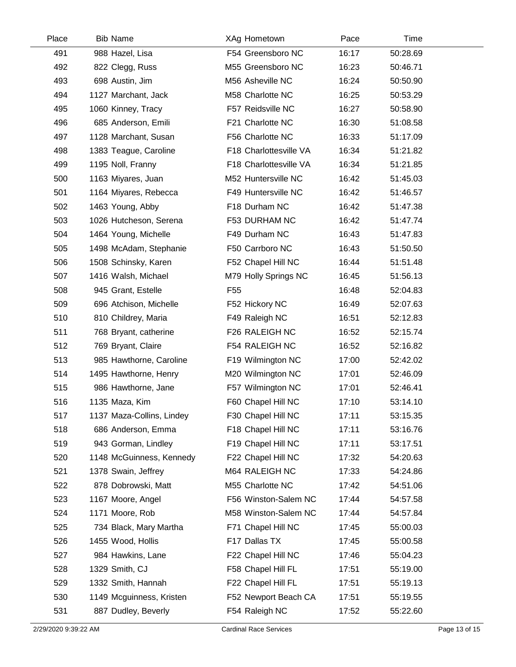| Place | <b>Bib Name</b>           | XAg Hometown           | Pace  | Time     |  |
|-------|---------------------------|------------------------|-------|----------|--|
| 491   | 988 Hazel, Lisa           | F54 Greensboro NC      | 16:17 | 50:28.69 |  |
| 492   | 822 Clegg, Russ           | M55 Greensboro NC      | 16:23 | 50:46.71 |  |
| 493   | 698 Austin, Jim           | M56 Asheville NC       | 16:24 | 50:50.90 |  |
| 494   | 1127 Marchant, Jack       | M58 Charlotte NC       | 16:25 | 50:53.29 |  |
| 495   | 1060 Kinney, Tracy        | F57 Reidsville NC      | 16:27 | 50:58.90 |  |
| 496   | 685 Anderson, Emili       | F21 Charlotte NC       | 16:30 | 51:08.58 |  |
| 497   | 1128 Marchant, Susan      | F56 Charlotte NC       | 16:33 | 51:17.09 |  |
| 498   | 1383 Teague, Caroline     | F18 Charlottesville VA | 16:34 | 51:21.82 |  |
| 499   | 1195 Noll, Franny         | F18 Charlottesville VA | 16:34 | 51:21.85 |  |
| 500   | 1163 Miyares, Juan        | M52 Huntersville NC    | 16:42 | 51:45.03 |  |
| 501   | 1164 Miyares, Rebecca     | F49 Huntersville NC    | 16:42 | 51:46.57 |  |
| 502   | 1463 Young, Abby          | F18 Durham NC          | 16:42 | 51:47.38 |  |
| 503   | 1026 Hutcheson, Serena    | F53 DURHAM NC          | 16:42 | 51:47.74 |  |
| 504   | 1464 Young, Michelle      | F49 Durham NC          | 16:43 | 51:47.83 |  |
| 505   | 1498 McAdam, Stephanie    | F50 Carrboro NC        | 16:43 | 51:50.50 |  |
| 506   | 1508 Schinsky, Karen      | F52 Chapel Hill NC     | 16:44 | 51:51.48 |  |
| 507   | 1416 Walsh, Michael       | M79 Holly Springs NC   | 16:45 | 51:56.13 |  |
| 508   | 945 Grant, Estelle        | F <sub>55</sub>        | 16:48 | 52:04.83 |  |
| 509   | 696 Atchison, Michelle    | F52 Hickory NC         | 16:49 | 52:07.63 |  |
| 510   | 810 Childrey, Maria       | F49 Raleigh NC         | 16:51 | 52:12.83 |  |
| 511   | 768 Bryant, catherine     | F26 RALEIGH NC         | 16:52 | 52:15.74 |  |
| 512   | 769 Bryant, Claire        | F54 RALEIGH NC         | 16:52 | 52:16.82 |  |
| 513   | 985 Hawthorne, Caroline   | F19 Wilmington NC      | 17:00 | 52:42.02 |  |
| 514   | 1495 Hawthorne, Henry     | M20 Wilmington NC      | 17:01 | 52:46.09 |  |
| 515   | 986 Hawthorne, Jane       | F57 Wilmington NC      | 17:01 | 52:46.41 |  |
| 516   | 1135 Maza, Kim            | F60 Chapel Hill NC     | 17:10 | 53:14.10 |  |
| 517   | 1137 Maza-Collins, Lindey | F30 Chapel Hill NC     | 17:11 | 53:15.35 |  |
| 518   | 686 Anderson, Emma        | F18 Chapel Hill NC     | 17:11 | 53:16.76 |  |
| 519   | 943 Gorman, Lindley       | F19 Chapel Hill NC     | 17:11 | 53:17.51 |  |
| 520   | 1148 McGuinness, Kennedy  | F22 Chapel Hill NC     | 17:32 | 54:20.63 |  |
| 521   | 1378 Swain, Jeffrey       | M64 RALEIGH NC         | 17:33 | 54:24.86 |  |
| 522   | 878 Dobrowski, Matt       | M55 Charlotte NC       | 17:42 | 54:51.06 |  |
| 523   | 1167 Moore, Angel         | F56 Winston-Salem NC   | 17:44 | 54:57.58 |  |
| 524   | 1171 Moore, Rob           | M58 Winston-Salem NC   | 17:44 | 54:57.84 |  |
| 525   | 734 Black, Mary Martha    | F71 Chapel Hill NC     | 17:45 | 55:00.03 |  |
| 526   | 1455 Wood, Hollis         | F17 Dallas TX          | 17:45 | 55:00.58 |  |
| 527   | 984 Hawkins, Lane         | F22 Chapel Hill NC     | 17:46 | 55:04.23 |  |
| 528   | 1329 Smith, CJ            | F58 Chapel Hill FL     | 17:51 | 55:19.00 |  |
| 529   | 1332 Smith, Hannah        | F22 Chapel Hill FL     | 17:51 | 55:19.13 |  |
| 530   | 1149 Mcguinness, Kristen  | F52 Newport Beach CA   | 17:51 | 55:19.55 |  |
| 531   | 887 Dudley, Beverly       | F54 Raleigh NC         | 17:52 | 55:22.60 |  |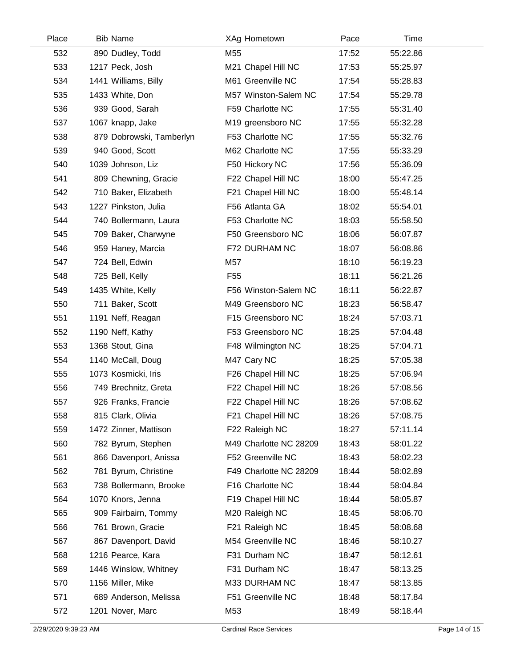| Place | <b>Bib Name</b>          | XAg Hometown           | Pace  | Time     |  |
|-------|--------------------------|------------------------|-------|----------|--|
| 532   | 890 Dudley, Todd         | M55                    | 17:52 | 55:22.86 |  |
| 533   | 1217 Peck, Josh          | M21 Chapel Hill NC     | 17:53 | 55:25.97 |  |
| 534   | 1441 Williams, Billy     | M61 Greenville NC      | 17:54 | 55:28.83 |  |
| 535   | 1433 White, Don          | M57 Winston-Salem NC   | 17:54 | 55:29.78 |  |
| 536   | 939 Good, Sarah          | F59 Charlotte NC       | 17:55 | 55:31.40 |  |
| 537   | 1067 knapp, Jake         | M19 greensboro NC      | 17:55 | 55:32.28 |  |
| 538   | 879 Dobrowski, Tamberlyn | F53 Charlotte NC       | 17:55 | 55:32.76 |  |
| 539   | 940 Good, Scott          | M62 Charlotte NC       | 17:55 | 55:33.29 |  |
| 540   | 1039 Johnson, Liz        | F50 Hickory NC         | 17:56 | 55:36.09 |  |
| 541   | 809 Chewning, Gracie     | F22 Chapel Hill NC     | 18:00 | 55:47.25 |  |
| 542   | 710 Baker, Elizabeth     | F21 Chapel Hill NC     | 18:00 | 55:48.14 |  |
| 543   | 1227 Pinkston, Julia     | F56 Atlanta GA         | 18:02 | 55:54.01 |  |
| 544   | 740 Bollermann, Laura    | F53 Charlotte NC       | 18:03 | 55:58.50 |  |
| 545   | 709 Baker, Charwyne      | F50 Greensboro NC      | 18:06 | 56:07.87 |  |
| 546   | 959 Haney, Marcia        | F72 DURHAM NC          | 18:07 | 56:08.86 |  |
| 547   | 724 Bell, Edwin          | M57                    | 18:10 | 56:19.23 |  |
| 548   | 725 Bell, Kelly          | F <sub>55</sub>        | 18:11 | 56:21.26 |  |
| 549   | 1435 White, Kelly        | F56 Winston-Salem NC   | 18:11 | 56:22.87 |  |
| 550   | 711 Baker, Scott         | M49 Greensboro NC      | 18:23 | 56:58.47 |  |
| 551   | 1191 Neff, Reagan        | F15 Greensboro NC      | 18:24 | 57:03.71 |  |
| 552   | 1190 Neff, Kathy         | F53 Greensboro NC      | 18:25 | 57:04.48 |  |
| 553   | 1368 Stout, Gina         | F48 Wilmington NC      | 18:25 | 57:04.71 |  |
| 554   | 1140 McCall, Doug        | M47 Cary NC            | 18:25 | 57:05.38 |  |
| 555   | 1073 Kosmicki, Iris      | F26 Chapel Hill NC     | 18:25 | 57:06.94 |  |
| 556   | 749 Brechnitz, Greta     | F22 Chapel Hill NC     | 18:26 | 57:08.56 |  |
| 557   | 926 Franks, Francie      | F22 Chapel Hill NC     | 18:26 | 57:08.62 |  |
| 558   | 815 Clark, Olivia        | F21 Chapel Hill NC     | 18:26 | 57:08.75 |  |
| 559   | 1472 Zinner, Mattison    | F22 Raleigh NC         | 18:27 | 57:11.14 |  |
| 560   | 782 Byrum, Stephen       | M49 Charlotte NC 28209 | 18:43 | 58:01.22 |  |
| 561   | 866 Davenport, Anissa    | F52 Greenville NC      | 18:43 | 58:02.23 |  |
| 562   | 781 Byrum, Christine     | F49 Charlotte NC 28209 | 18:44 | 58:02.89 |  |
| 563   | 738 Bollermann, Brooke   | F16 Charlotte NC       | 18:44 | 58:04.84 |  |
| 564   | 1070 Knors, Jenna        | F19 Chapel Hill NC     | 18:44 | 58:05.87 |  |
| 565   | 909 Fairbairn, Tommy     | M20 Raleigh NC         | 18:45 | 58:06.70 |  |
| 566   | 761 Brown, Gracie        | F21 Raleigh NC         | 18:45 | 58:08.68 |  |
| 567   | 867 Davenport, David     | M54 Greenville NC      | 18:46 | 58:10.27 |  |
| 568   | 1216 Pearce, Kara        | F31 Durham NC          | 18:47 | 58:12.61 |  |
| 569   | 1446 Winslow, Whitney    | F31 Durham NC          | 18:47 | 58:13.25 |  |
| 570   | 1156 Miller, Mike        | M33 DURHAM NC          | 18:47 | 58:13.85 |  |
| 571   | 689 Anderson, Melissa    | F51 Greenville NC      | 18:48 | 58:17.84 |  |
| 572   | 1201 Nover, Marc         | M53                    | 18:49 | 58:18.44 |  |